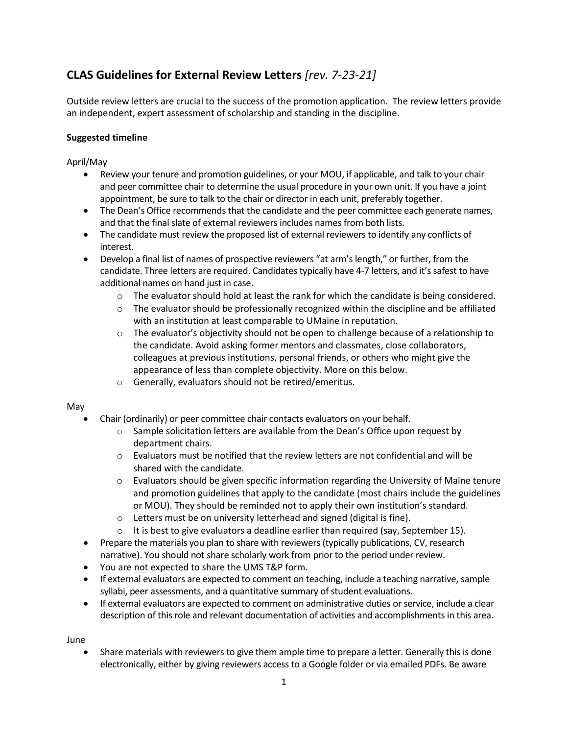# **CLAS Guidelines for External Review Letters** *[rev. 7-23-21]*

Outside review letters are crucial to the success of the promotion application. The review letters provide an independent, expert assessment of scholarship and standing in the discipline.

## **Suggested timeline**

April/May

- Review your tenure and promotion guidelines, or your MOU, if applicable, and talk to your chair and peer committee chair to determine the usual procedure in your own unit. If you have a joint appointment, be sure to talk to the chair or director in each unit, preferably together.
- The Dean's Office recommends that the candidate and the peer committee each generate names, and that the final slate of external reviewers includes names from both lists.
- The candidate must review the proposed list of external reviewers to identify any conflicts of interest.
- Develop a final list of names of prospective reviewers "at arm's length," or further, from the candidate. Three letters are required. Candidates typically have 4-7 letters, and it's safest to have additional names on hand just in case.
	- o The evaluator should hold at least the rank for which the candidate is being considered.
	- $\circ$  The evaluator should be professionally recognized within the discipline and be affiliated with an institution at least comparable to UMaine in reputation.
	- $\circ$  The evaluator's objectivity should not be open to challenge because of a relationship to the candidate. Avoid asking former mentors and classmates, close collaborators, colleagues at previous institutions, personal friends, or others who might give the appearance of less than complete objectivity. More on this below.
	- o Generally, evaluators should not be retired/emeritus.

#### May

- Chair (ordinarily) or peer committee chair contacts evaluators on your behalf.
	- $\circ$  Sample solicitation letters are available from the Dean's Office upon request by department chairs.
	- $\circ$  Evaluators must be notified that the review letters are not confidential and will be shared with the candidate.
	- $\circ$  Evaluators should be given specific information regarding the University of Maine tenure and promotion guidelines that apply to the candidate (most chairs include the guidelines or MOU). They should be reminded not to apply their own institution's standard.
	- o Letters must be on university letterhead and signed (digital is fine).
	- $\circ$  It is best to give evaluators a deadline earlier than required (say, September 15).
- Prepare the materials you plan to share with reviewers (typically publications, CV, research narrative). You should not share scholarly work from prior to the period under review.
- You are not expected to share the UMS T&P form.
- If external evaluators are expected to comment on teaching, include a teaching narrative, sample syllabi, peer assessments, and a quantitative summary of student evaluations.
- If external evaluators are expected to comment on administrative duties or service, include a clear description of this role and relevant documentation of activities and accomplishments in this area.

June

Share materials with reviewers to give them ample time to prepare a letter. Generally this is done electronically, either by giving reviewers access to a Google folder or via emailed PDFs. Be aware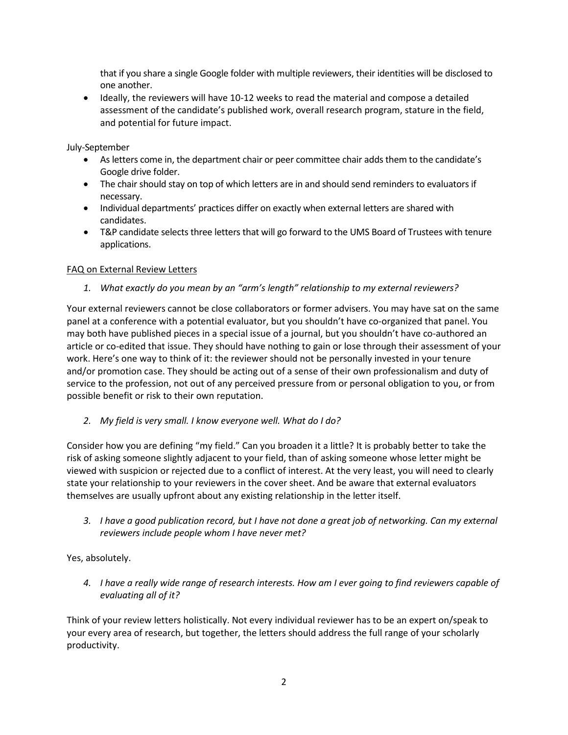that if you share a single Google folder with multiple reviewers, their identities will be disclosed to one another.

• Ideally, the reviewers will have 10-12 weeks to read the material and compose a detailed assessment of the candidate's published work, overall research program, stature in the field, and potential for future impact.

July-September

- As letters come in, the department chair or peer committee chair adds them to the candidate's Google drive folder.
- The chair should stay on top of which letters are in and should send reminders to evaluators if necessary.
- Individual departments' practices differ on exactly when external letters are shared with candidates.
- T&P candidate selects three letters that will go forward to the UMS Board of Trustees with tenure applications.

## FAQ on External Review Letters

*1. What exactly do you mean by an "arm's length" relationship to my external reviewers?*

Your external reviewers cannot be close collaborators or former advisers. You may have sat on the same panel at a conference with a potential evaluator, but you shouldn't have co-organized that panel. You may both have published pieces in a special issue of a journal, but you shouldn't have co-authored an article or co-edited that issue. They should have nothing to gain or lose through their assessment of your work. Here's one way to think of it: the reviewer should not be personally invested in your tenure and/or promotion case. They should be acting out of a sense of their own professionalism and duty of service to the profession, not out of any perceived pressure from or personal obligation to you, or from possible benefit or risk to their own reputation.

*2. My field is very small. I know everyone well. What do I do?*

Consider how you are defining "my field." Can you broaden it a little? It is probably better to take the risk of asking someone slightly adjacent to your field, than of asking someone whose letter might be viewed with suspicion or rejected due to a conflict of interest. At the very least, you will need to clearly state your relationship to your reviewers in the cover sheet. And be aware that external evaluators themselves are usually upfront about any existing relationship in the letter itself.

*3. I have a good publication record, but I have not done a great job of networking. Can my external reviewers include people whom I have never met?*

Yes, absolutely.

*4. I have a really wide range of research interests. How am I ever going to find reviewers capable of evaluating all of it?*

Think of your review letters holistically. Not every individual reviewer has to be an expert on/speak to your every area of research, but together, the letters should address the full range of your scholarly productivity.